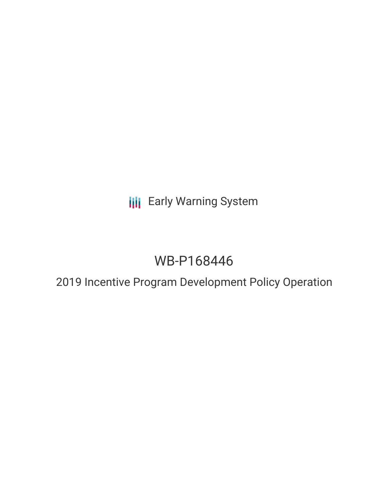**III** Early Warning System

# WB-P168446

## 2019 Incentive Program Development Policy Operation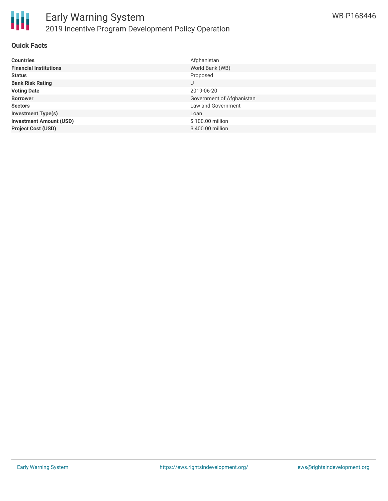

#### **Quick Facts**

| <b>Countries</b>               | Afghanistan               |
|--------------------------------|---------------------------|
| <b>Financial Institutions</b>  | World Bank (WB)           |
| <b>Status</b>                  | Proposed                  |
| <b>Bank Risk Rating</b>        | U                         |
| <b>Voting Date</b>             | 2019-06-20                |
| <b>Borrower</b>                | Government of Afghanistan |
| <b>Sectors</b>                 | Law and Government        |
| <b>Investment Type(s)</b>      | Loan                      |
| <b>Investment Amount (USD)</b> | \$100.00 million          |
| <b>Project Cost (USD)</b>      | \$400.00 million          |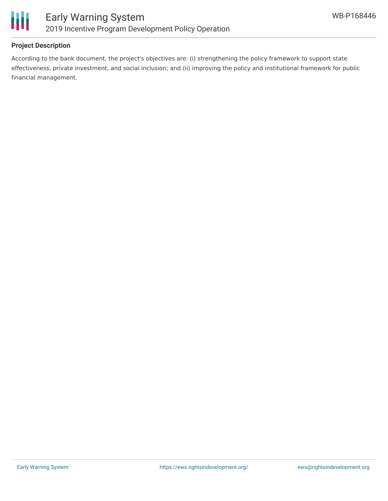

#### **Project Description**

According to the bank document, the project's objectives are: (i) strengthening the policy framework to support state effectiveness, private investment, and social inclusion; and (ii) improving the policy and institutional framework for public financial management.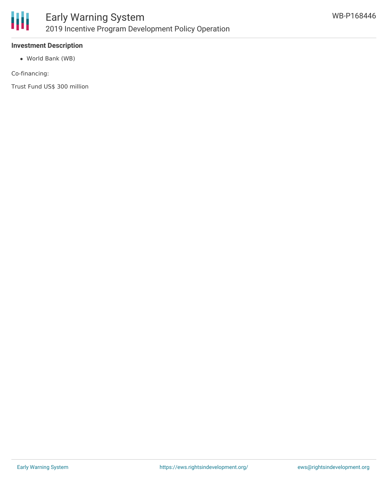

#### **Investment Description**

World Bank (WB)

Co-financing:

Trust Fund US\$ 300 million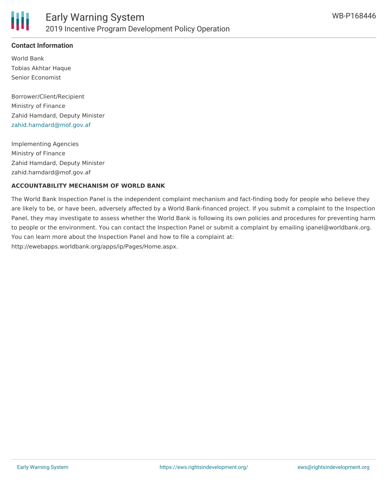

#### **Contact Information**

World Bank Tobias Akhtar Haque Senior Economist

Borrower/Client/Recipient Ministry of Finance Zahid Hamdard, Deputy Minister [zahid.hamdard@mof.gov.af](mailto:zahid.hamdard@mof.gov.af)

Implementing Agencies Ministry of Finance Zahid Hamdard, Deputy Minister zahid.hamdard@mof.gov.af

#### **ACCOUNTABILITY MECHANISM OF WORLD BANK**

The World Bank Inspection Panel is the independent complaint mechanism and fact-finding body for people who believe they are likely to be, or have been, adversely affected by a World Bank-financed project. If you submit a complaint to the Inspection Panel, they may investigate to assess whether the World Bank is following its own policies and procedures for preventing harm to people or the environment. You can contact the Inspection Panel or submit a complaint by emailing ipanel@worldbank.org. You can learn more about the Inspection Panel and how to file a complaint at: http://ewebapps.worldbank.org/apps/ip/Pages/Home.aspx.